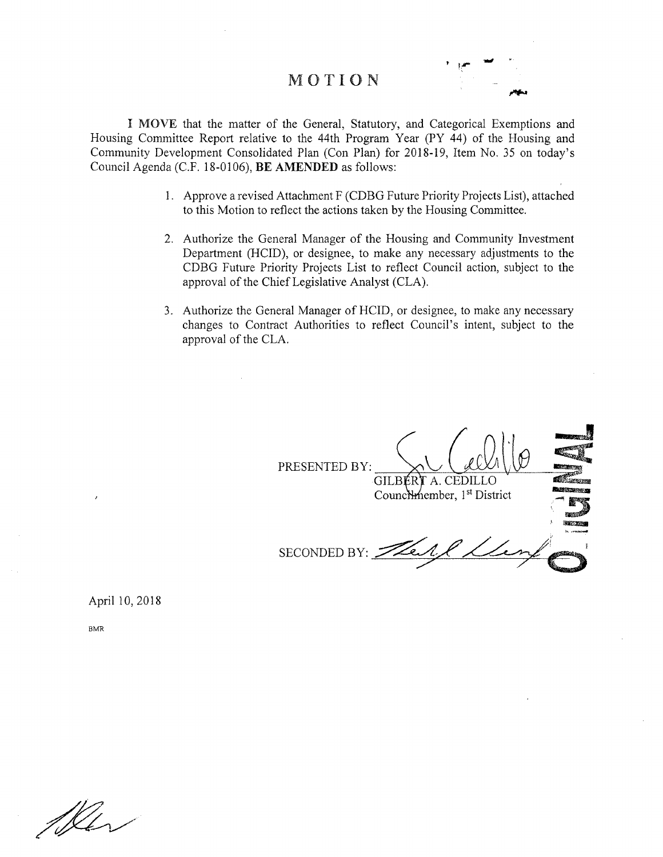## MOTION



I MOVE that the matter of the General, Statutory, and Categorical Exemptions and Housing Committee Report relative to the 44th Program Year (PY 44) of the Housing and Community Development Consolidated Plan (Con Plan) for 2018-19, Item No. 35 on today's Council Agenda (C.F. 18-0106), BE AMENDED as follows:

- 1. Approve a revised Attachment F (CDBG Future Priority Projects List), attached to this Motion to reflect the actions taken by the Housing Committee.
- 2. Authorize the General Manager of the Housing and Community Investment Department (HCID), or designee, to make any necessary adjustments to the CDBG Future Priority Projects List to reflect Council action, subject to the approval of the Chief Legislative Analyst (CLA).
- 3. Authorize the General Manager of HCID, or designee, to make any necessary changes to Contract Authorities to reflect Council's intent, subject to the approval of the CLA.

PRESENTED BY: GILBÉR**T** A. CEDILI Counchmember, 1<sup>st</sup> District SECONDED BY:  $\Rightarrow$ 

April 10,2018

**BMR** 

Mer